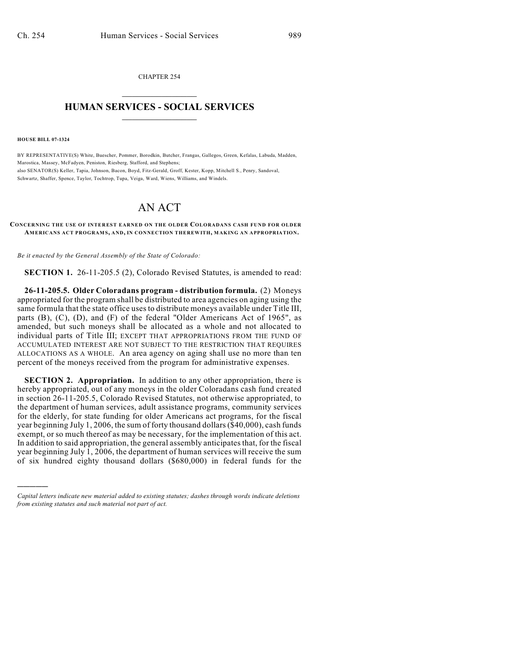CHAPTER 254  $\overline{\phantom{a}}$  . The set of the set of the set of the set of the set of the set of the set of the set of the set of the set of the set of the set of the set of the set of the set of the set of the set of the set of the set o

## **HUMAN SERVICES - SOCIAL SERVICES**  $\frac{1}{2}$  ,  $\frac{1}{2}$  ,  $\frac{1}{2}$  ,  $\frac{1}{2}$  ,  $\frac{1}{2}$  ,  $\frac{1}{2}$  ,  $\frac{1}{2}$

**HOUSE BILL 07-1324**

)))))

BY REPRESENTATIVE(S) White, Buescher, Pommer, Borodkin, Butcher, Frangas, Gallegos, Green, Kefalas, Labuda, Madden, Marostica, Massey, McFadyen, Peniston, Riesberg, Stafford, and Stephens; also SENATOR(S) Keller, Tapia, Johnson, Bacon, Boyd, Fitz-Gerald, Groff, Kester, Kopp, Mitchell S., Penry, Sandoval, Schwartz, Shaffer, Spence, Taylor, Tochtrop, Tupa, Veiga, Ward, Wiens, Williams, and Windels.

## AN ACT

## **CONCERNING THE USE OF INTEREST EARNED ON THE OLDER COLORADANS CASH FUND FOR OLDER AM ERICANS ACT PROGRAM S, AND, IN CONNECTION THEREWITH, MAKING AN APPROPRIATION.**

*Be it enacted by the General Assembly of the State of Colorado:*

**SECTION 1.** 26-11-205.5 (2), Colorado Revised Statutes, is amended to read:

**26-11-205.5. Older Coloradans program - distribution formula.** (2) Moneys appropriated for the program shall be distributed to area agencies on aging using the same formula that the state office uses to distribute moneys available under Title III, parts (B), (C), (D), and (F) of the federal "Older Americans Act of 1965", as amended, but such moneys shall be allocated as a whole and not allocated to individual parts of Title III; EXCEPT THAT APPROPRIATIONS FROM THE FUND OF ACCUMULATED INTEREST ARE NOT SUBJECT TO THE RESTRICTION THAT REQUIRES ALLOCATIONS AS A WHOLE. An area agency on aging shall use no more than ten percent of the moneys received from the program for administrative expenses.

**SECTION 2. Appropriation.** In addition to any other appropriation, there is hereby appropriated, out of any moneys in the older Coloradans cash fund created in section 26-11-205.5, Colorado Revised Statutes, not otherwise appropriated, to the department of human services, adult assistance programs, community services for the elderly, for state funding for older Americans act programs, for the fiscal year beginning July 1, 2006, the sum of forty thousand dollars (\$40,000), cash funds exempt, or so much thereof as may be necessary, for the implementation of this act. In addition to said appropriation, the general assembly anticipates that, for the fiscal year beginning July 1, 2006, the department of human services will receive the sum of six hundred eighty thousand dollars (\$680,000) in federal funds for the

*Capital letters indicate new material added to existing statutes; dashes through words indicate deletions from existing statutes and such material not part of act.*